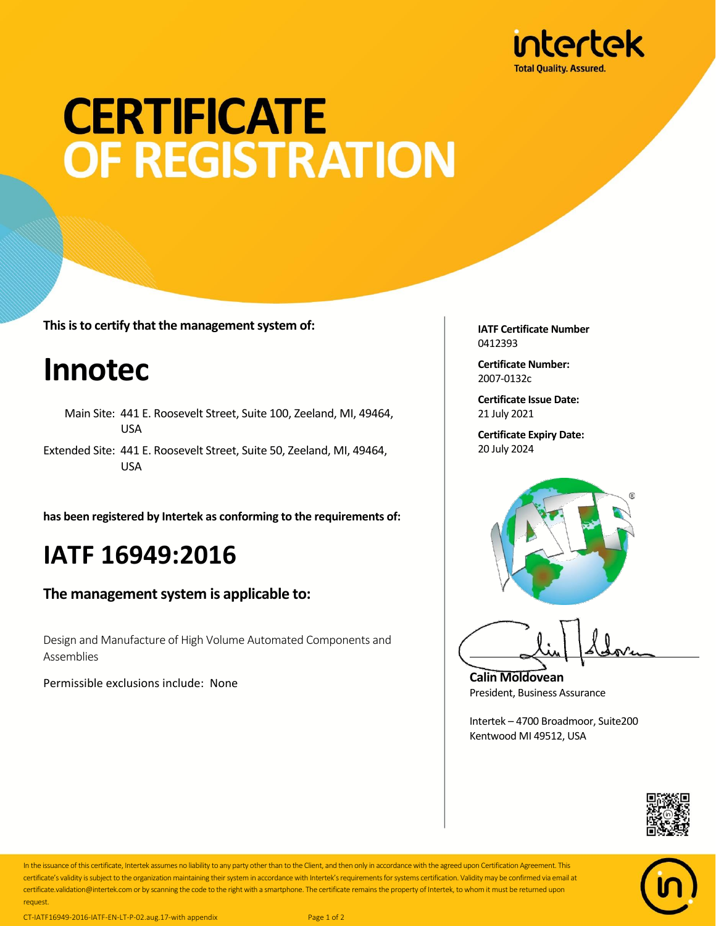

# **CERTIFICATE OF REGISTRATION**

**This is to certify that the management system of:**

### **Innotec**

- Main Site: 441 E. Roosevelt Street, Suite 100, Zeeland, MI, 49464, USA
- Extended Site: 441 E. Roosevelt Street, Suite 50, Zeeland, MI, 49464, USA

**has been registered by Intertek as conforming to the requirements of:**

#### **IATF 16949:2016**

**The management system is applicable to:**

Design and Manufacture of High Volume Automated Components and Assemblies

Permissible exclusions include: None

**IATF Certificate Number** 0412393

**Certificate Number:** 2007-0132c

**Certificate Issue Date:** 21 July 2021

**Certificate Expiry Date:** 20 July 2024



**Calin Moldovean** President, Business Assurance

Intertek – 4700 Broadmoor, Suite200 Kentwood MI 49512, USA





In the issuance of this certificate, Intertek assumes no liability to any party other than to the Client, and then only in accordance with the agreed upon Certification Agreement. This certificate's validity is subject to the organization maintaining their system in accordance with Intertek's requirements for systems certification. Validity may be confirmed via email at certificate.validation@intertek.com or by scanning the code to the right with a smartphone. The certificate remains the property of Intertek, to whom it must be returned upon request.

CT-IATF16949-2016-IATF-EN-LT-P-02.aug.17-with appendix Page 1 of 2